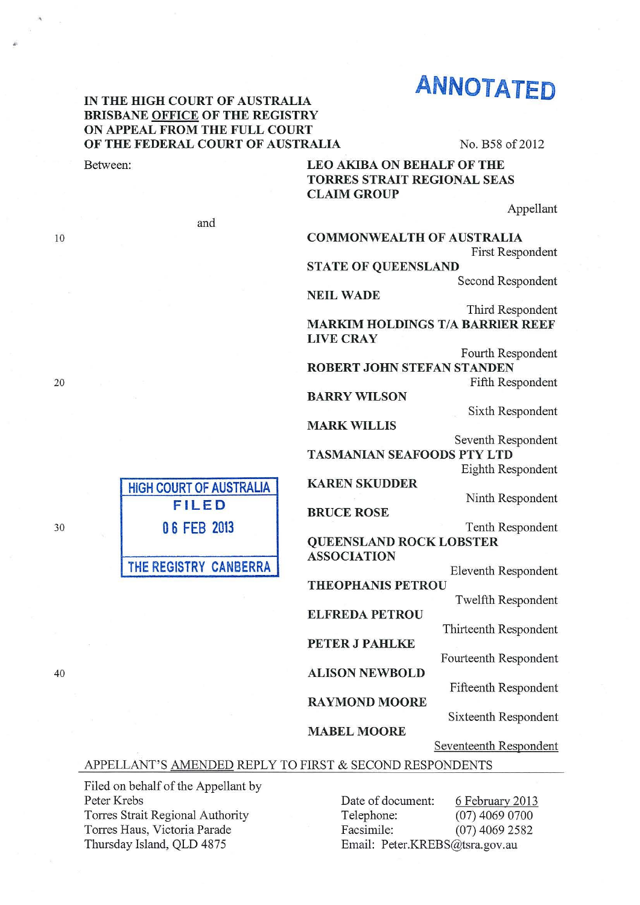# ANNOTATED

## IN THE HIGH COURT OF AUSTRALIA BRISBANE OFFICE OF THE REGISTRY ON APPEAL FROM THE FULL COURT OF THE FEDERAL COURT OF AUSTRALIA No. B58 of 2012

# Between: LEO AKIBA ON BEHALF OF THE TORRES STRAIT REGIONAL SEAS CLAIM GROUP

Appellant

10

20

and

HIGH COURT OF AUSTRALIA FILED

0 6 FEB 2013

THE REGISTRY CANBERRA

# COMMONWEALTH OF AUSTRALIA

First Respondent

STATE OF QUEENSLAND

Second Respondent

NEIL WADE

Third Respondent

MARKIM HOLDINGS T/A BARRIER REEF LIVECRAY

Fourth Respondent ROBERT JOHN STEFAN STANDEN Fifth Respondent

BARRY WILSON

MARK WILLIS

Seventh Respondent TASMANIAN SEAFOODS PTY LTD

Eighth Respondent

Sixth Respondent

KAREN SKUDDER

BRUCE ROSE

Ninth Respondent

Tenth Respondent

QUEENSLAND ROCK LOBSTER ASSOCIATION

**THEOPHANIS PETROU** 

ELFREDA PETROU

PETER J PAHLKE

Eleventh Respondent

Twelfth Respondent

Thirteenth Respondent

Fourteenth Respondent

Fifteenth Respondent

RAYMOND MOORE

ALISON NEWBOLD

#### MABEL MOORE

Seventeenth Respondent

Sixteenth Respondent

## APPELLANT'S AMENDED REPLY TO FIRST & SECOND RESPONDENTS

Filed on behalf of the Appellant by Peter Krebs Torres Strait Regional Authority Torres Haus, Victoria Parade Thursday Island, QLD 4875

Date of document: 6 February 2013 Telephone: (07) 4069 0700 Facsimile: (07) 4069 2582 Email: Peter.KREBS@tsra.gov.au

30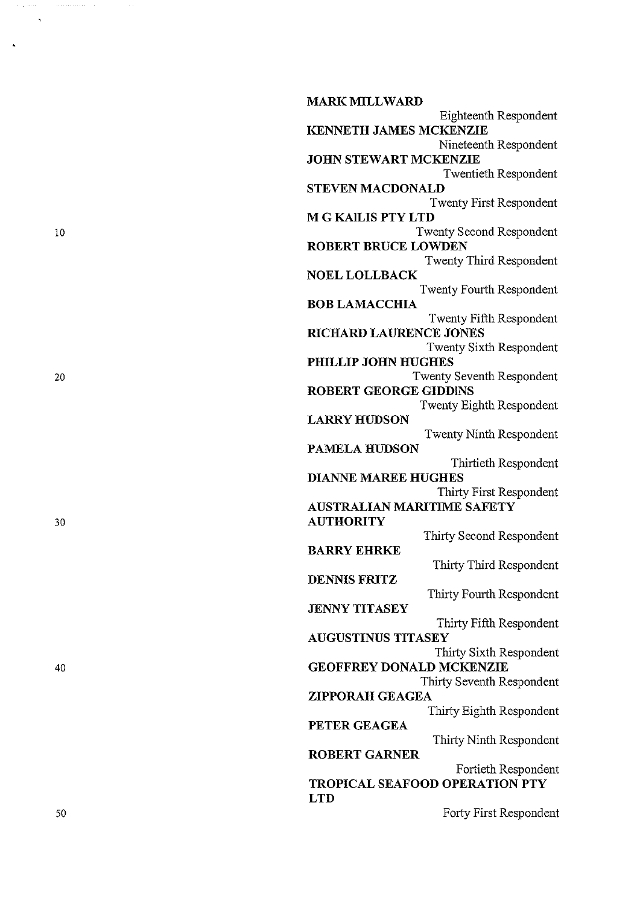**MARK MILLWARD**  Eighteenth Respondent **KENNETH JAMES MCKENZIE**  Nineteenth Respondent **JOHN STEWART MCKENZIE** Twentieth Respondent **STEVEN MACDONALD**  Twenty First Respondent **M G KAlLIS PTY LTD**  Twenty Second Respondent **ROBERT BRUCE LOWDEN**  Twenty Third Respondent **NOEL LOLLBACK**  Twenty Fourth Respondent **BOB LAMACCHIA**  Twenty Fifth Respondent **RICHARD LAURENCE JONES**  Twenty Sixth Respondent **PHILLIP JOHN HUGHES**  Twenty Seventh Respondent **ROBERT GEORGE GIDDINS**  Twenty Eighth Respondent **LARRY HUDSON**  Twenty Ninth Respondent **PAMELA HUDSON**  Thirtieth Respondent **DIANNE MAREE HUGHES**  Thirty First Respondent **AUSTRALIAN MARITIME SAFETY AUTHORITY**  Thirty Second Respondent **BARRY EHRKE**  Thirty Third Respondent **DENNIS FRITZ**  Thirty Fourth Respondent **JENNY TITASEY**  Thirty Fifth Respondent **AUGUSTINUS TITASEY**  Thirty Sixth Respondent **GEOFFREY DONALD MCKENZIE**  Thirty Seventh Respondent **ZIPPORAH GEAGEA**  Thirty Eighth Respondent **PETER GEAGEA**  Thirty Ninth Respondent **ROBERT GARNER**  Fortieth Respondent **TROPICAL SEAFOOD OPERATION PTY LTD**  Forty First Respondent

10

 $\hat{\mathbf{z}}$ 

20

30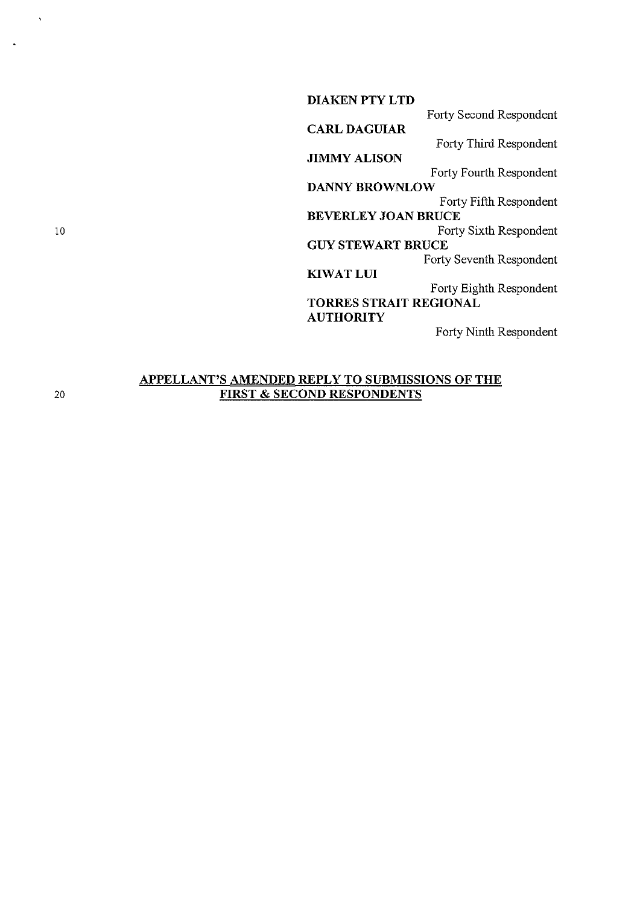DIAKEN PTY LTD Forty Second Respondent CARL DAGUIAR Forty Third Respondent JIMMY ALISON Forty Fourth Respondent DANNY BROWNLOW Forty Fifth Respondent BEVERLEY JOAN BRUCE Forty Sixth Respondent **GUY STEWART BRUCE** Forty Seventh Respondent KIWATLUI Forty Eighth Respondent TORRES STRAIT REGIONAL **AUTHORITY** Forty Ninth Respondent

## APPELLANT'S AMENDED REPLY TO SUBMISSIONS OF THE FIRST & SECOND RESPONDENTS

20

10

 $\ddot{\phantom{1}}$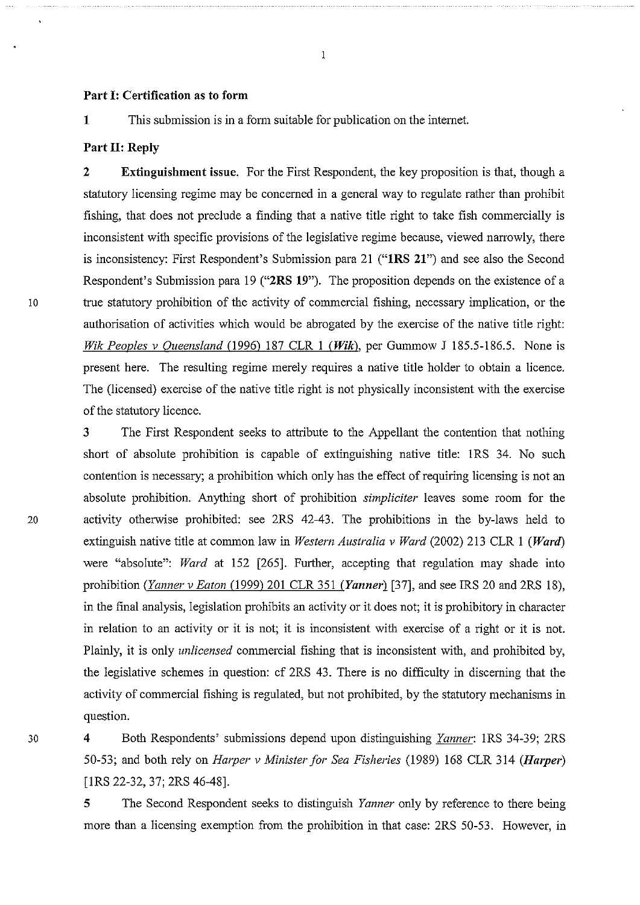#### Part 1: Certification as to form

1 This submission is in a form suitable for publication on the internet.

### Part II: Reply

2 Extinguishment issue. For the First Respondent, the key proposition is that, though a statutory licensing regime may be concerned in a general way to regulate rather than prohibit fishing, that does not preclude a finding that a native title right to take fish commercially is inconsistent with specific provisions of the legislative regime because, viewed nanowly, there is inconsistency: First Respondent's Submission para 21 ("1RS 21") and see also the Second Respondent's Submission para 19 ("2RS 19"). The proposition depends on the existence of a 10 true statutory prohibition of the activity of commercial fishing, necessary implication, or the authorisation of activities which would be abrogated by the exercise of the native title right: *Wik Peoples v Queensland* (1996) 187 CLR 1 *(Wik),* per Gummow J 185.5-186.5. None is present here. The resulting regime merely requires a native title holder to obtain a licence. The (licensed) exercise of the native title right is not physically inconsistent with the exercise of the statutory licence.

3 The First Respondent seeks to attribute to the Appellant the contention that nothing short of absolute prohibition is capable of extinguishing native title: IRS 34. No such contention is necessary; a prohibition which only has the effect of requiring licensing is not an absolute prohibition. Anything short of prohibition *simpliciter* leaves some room for the 20 activity otherwise prohibited: see 2RS 42-43. The prohibitions in the by-laws held to extinguish native title at common law in *Western Australia v Ward* (2002) 213 CLR I *(Ward)*  were "absolute": *Ward* at 152 [265]. Further, accepting that regulation may shade into prohibition *(Yanner v Eaton* (1999) 201 CLR 351 *(Yannerl* [37], and see IRS 20 and 2RS 18), in the final analysis, legislation prohibits an activity or it does not; it is prohibitory in character in relation to an activity or it is not; it is inconsistent with exercise of a right or it is not. Plainly, it is only *unlicensed* commercial fishing that is inconsistent with, and prohibited by, the legislative schemes in question: cf 2RS 43. There is no difficulty in discerning that the activity of commercial fishing is regulated, but not prohibited, by the statutory mechanisms in question.

30 4 Both Respondents' submissions depend upon distinguishing *Yanner:* IRS 34-39; 2RS 50-53; and both rely on *Harper v Minister for Sea Fisheries* (1989) 168 CLR 314 *(Harper)* [IRS 22-32, 37; 2RS 46-48].

> 5 The Second Respondent seeks to distinguish *Yanner* only by reference to there being more than a licensing exemption from the prohibition in that case: 2RS 50-53. However, in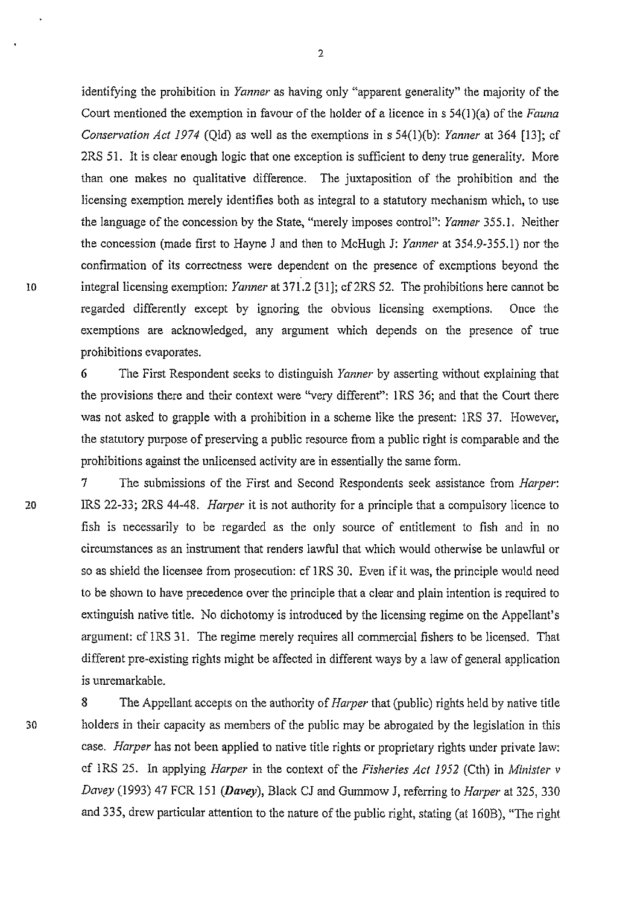identifying the prohibition in *Yanner* as having only "apparent generality" the majority of the Court mentioned the exemption in favour of the holder of a licence in s 54(1 )(a) of the *Fauna Conservation Act 1974* (Qld) as well as the exemptions in s 54(1)(b): *Yanner* at 364 [13]; cf 2RS 51. It is clear enough logic that one exception is sufficient to deny true generality. More than one makes no qualitative difference. The juxtaposition of the prohibition and the licensing exemption merely identifies both as integral to a statutory mechanism which, to use the language of the concession by the State, "merely imposes control": *Yanner* 355.1. Neither the concession (made first to Hayne J and then to McHugh J: *Yanner* at 354.9-355.1) nor the confirmation of its correctness were dependent on the presence of exemptions beyond the 10 integral licensing exemption: *Yanner* at 3 71.2 [31]; cf2RS 52. The prohibitions here cannot be regarded differently except by ignoring the obvious licensing exemptions. Once the exemptions are acknowledged, any argument which depends on the presence of true prohibitions evaporates.

2

**6** The First Respondent seeks to distinguish *Yanner* by asserting without explaining that the provisions there and their context were "very different": **1** RS 36; and that the Court there was not asked to grapple with a prohibition in a scheme like the present: IRS 37. However, the statutory purpose of preserving a public resource from a public right is comparable and the prohibitions against the unlicensed activity are in essentially the same form.

7 The submissions of the First and Second Respondents seek assistance from *Harper:*  20 IRS 22-33; 2RS 44-48. *Harper* it is not authority for a principle that a compulsoty licence to fish is necessarily to be regarded as the only source of entitlement to fish and in no circumstances as an instrument that renders lawful that which would otherwise be unlawful or so as shield the licensee from prosecution: cf IRS 30. Even if it was, the principle would need to be shown to have precedence over the principle that a clear and plain intention is required to extinguish native title. No dichotomy is introduced by the licensing regime on the Appellant's argument: cf 1RS 31. The regime merely requires all commercial fishers to be licensed. That different pre-existing rights might be affected in different ways by a law of general application is unremarkable.

8 The Appellant accepts on the authority of *Harper* that (public) rights held by native title 30 holders in their capacity as members of the public may be abrogated by the legislation in this case. *Harper* has not been applied to native title rights or proprietary rights under private law: cf IRS 25. In applying *Harper* in the context of the *Fisheries Act 1952* (Cth) in *Minister v Davey* (1993) 47 FCR 151 *(Davey),* Black CJ and Gummow J, referring to *Harper* at 325, 330 and 335, drew particular attention to the nature of the public right, stating (at 160B), "The right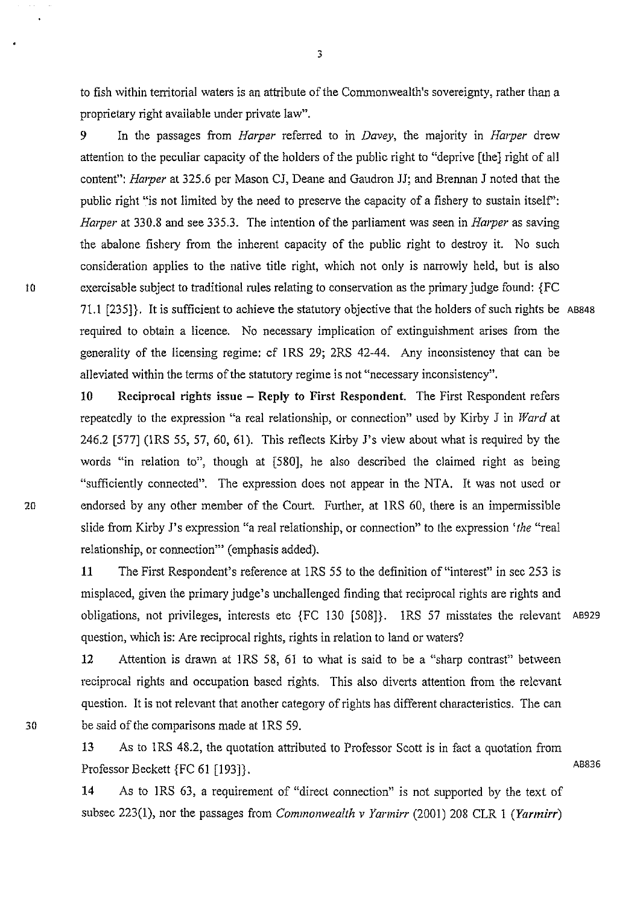to fish within territorial waters is an attribute of the Commonwealth's sovereignty, rather than a proprietary right available under private law".

3

9 In the passages from *Harper* referred to in *Davey,* the majority in *Harper* drew attention to the peculiar capacity of the holders of the public right to "deprive [the] right of all content": *Harper* at 325.6 per Mason CJ, Deane and Gaudron JJ; and Brennan J noted that the public right "is not limited by the need to preserve the capacity of a fishery to sustain itself': *Harper* at 330.8 and see 335.3. The intention of the parliament was seen in *Harper* as saving the abalone fishery from the inherent capacity of the public right to destroy it. No such consideration applies to the native title right, which not only is narrowly held, but is also 10 exercisable subject to traditional rules relating to conservation as the primary judge found: {FC 71.1 [235]}. It is sufficient to achieve the statutory objective that the holders of such rights be AB848 required to obtain a licence. No necessary implication of extinguishment arises from the generality of the licensing regime: cf IRS 29; 2RS 42-44. Any inconsistency that can be alleviated within the terms of the statutory regime is not "necessary inconsistency".

10 Reciprocal rights issue - Reply to First Respondent. The First Respondent refers repeatedly to the expression "a real relationship, or connection" used by Kirby J in *Ward* at 246.2 [577] (IRS 55, 57, 60, 61 ). This reflects Kirby J's view about what is required by the words "in relation to", though at (580], he also described the claimed right as being "sufficiently connected". The expression does not appear in the NTA. It was not used or 20 endorsed by any other member of the Court. Further, at 1RS 60, there is an impermissible slide from Kirby J's expression "a real relationship, or connection" to the expression 'the "real relationship, or connection"' (emphasis added).

> 11 The First Respondent's reference at IRS 55 to the definition of "interest" in sec 253 is misplaced, given the primary judge's unchallenged finding that reciprocal rights are rights and obligations, not privileges, interests etc {FC 130 (508]}. IRS 57 misstates the relevant AB929 question, which is: Are reciprocal rights, rights in relation to land or waters?

12 Attention is drawn at IRS 58, 61 to what is said to be a "sharp contrast" between reciprocal rights and occupation based rights. This also diverts attention from the relevant question. It is not relevant that another category of rights has different characteristics. The can be said of the comparisons made at IRS 59.

13 As to IRS 48.2, the quotation attributed to Professor Scott is in fact a quotation from Professor Beckett {FC 61 [193]}.

14 As to IRS 63, a requirement of "direct cormection" is not supported by the text of subsec 223(1), nor the passages from *Commonwealth v Yarmirr* (2001) 208 CLR 1 *(Yarmirr)* 

30

AB836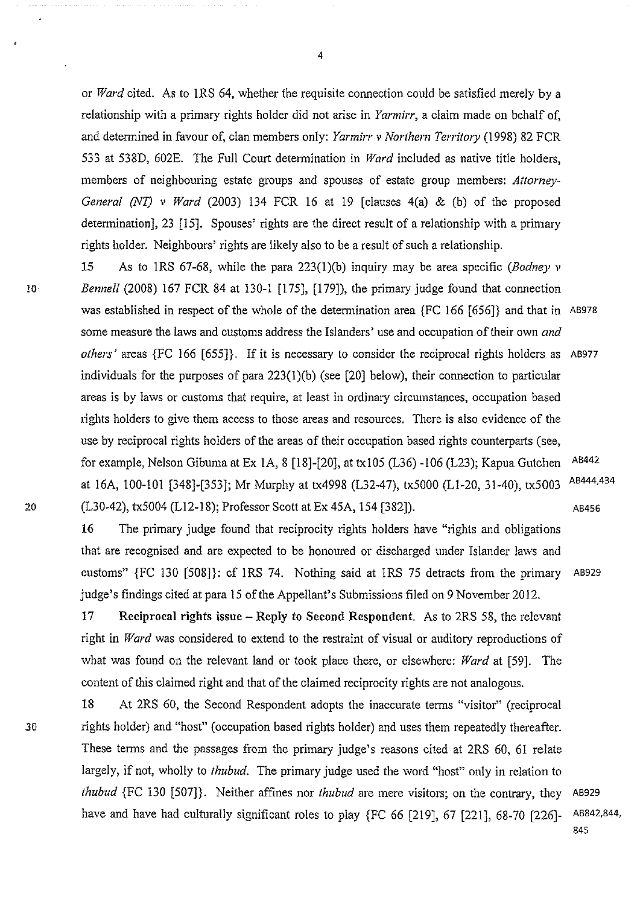or *Ward* cited. As to IRS 64, whether the requisite connection could be satisfied merely by a relationship with a primary rights holder did not arise in *Yarmirr,* a claim made on behalf of, and determined in favour of, clan members only: *Yarmirr v Northern Territory* (1998) 82 FCR 533 at 538D, 602E. The Full Court determination in *Ward* included as native title holders, members of neighbouring estate groups and spouses of estate group members: *Attorney-General* (NT) *v Ward* (2003) 134 FCR 16 at 19 [clauses 4(a) & (b) of the proposed determination], 23 [15]. Spouses' rights are the direct result of a relationship with a primary rights holder. Neighbours' rights are likely also to be a result of such a relationship.

15 As to IRS 67-68, while the para 223(1)(b) inquiry may be area specific *(Bodney v*  lO *Bennell* (2008) 167 FCR 84 at 130-l [175], [179]), the primary judge found that connection was established in respect of the whole of the determination area {FC 166 [656]} and that in AB978 some measure the laws and customs address the Islanders' use and occupation of their own *and others'* areas {FC 166 [655]}. If it is necessary to consider the reciprocal rights holders as AB977 individuals for the purposes of para  $223(1)(b)$  (see [20] below), their connection to particular areas is by laws or customs that require, at least in ordinary circumstances, occupation based rights holders to give them access to those areas and resources. There is also evidence of the use by reciprocal rights holders of the areas of their occupation based rights counterparts (see, for example, Nelson Gibuma at Ex 1A, 8 [18]-[20], at txl05 (L36) -106 (L23); Kapua Gutchen at 16A, 100-101 [348)-[353]; Mr Murphy at tx4998 (L32-47), tx5000 (Ll-20, 31-40), tx5003 (L30-42), tx5004 (L12-18); Professor Scott at Ex 45A, 154 [382]). AB442 AB444,434 AB456

16 The primary judge found that reciprocity rights holders have "rights and obligations that are recognised and are expected to be honoured or discharged under Islander laws and customs" {FC 130 [508]}: cf IRS 74. Nothing said at IRS 75 detracts from the primary AB929 judge's findings cited at para 15 of the Appellant's Submissions filed on 9 November 2012.

17 Reciprocal rights issue - Reply to Second Respondent. As to 2RS 58, the relevant right in *Ward* was considered to extend to the restraint of visual or auditory reproductions of what was found on the relevant land or took place there, or elsewhere: *Ward* at [59]. The content of this claimed right and that of the claimed reciprocity rights are not analogous.

18 At 2RS 60, the Second Respondent adopts the inaccurate terms "visitor" (reciprocal *30* rights holder) and "host" (occupation based rights holder) and uses them repeatedly thereafter. These terms and the passages from the primary judge's reasons cited at 2RS 60, 61 relate largely, if not, wholly to *thubud.* The primary judge used the word "host" only in relation to *thubud* {FC 130 [507]}. Neither affines nor *thubud* are mere visitors; on the contrary, they AB929 have and have had culturally significant roles to play {FC 66 [219], 67 [221], 68-70 [226]- AB842,844,

20

845